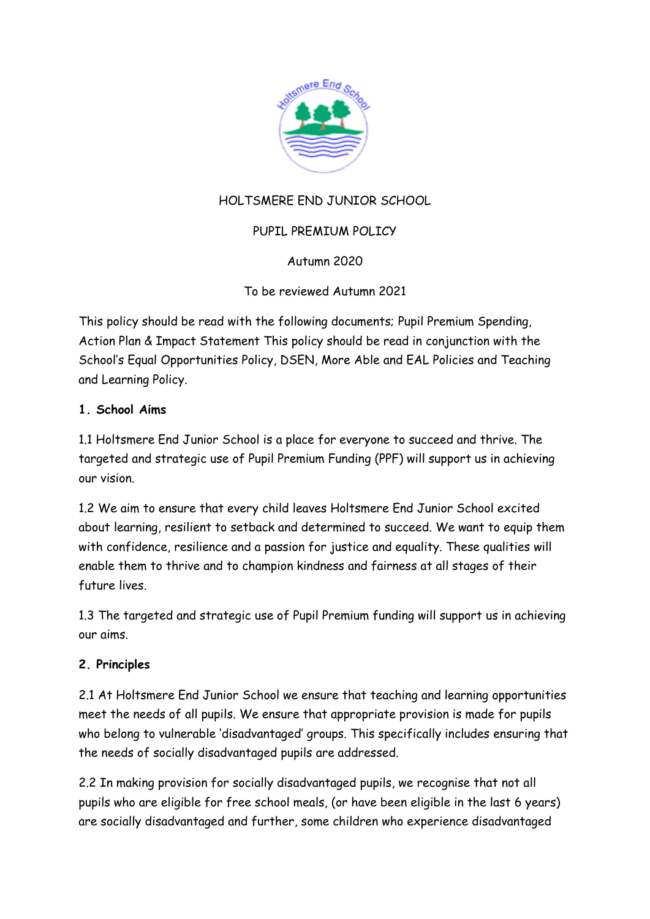

# HOLTSMERE END JUNIOR SCHOOL

## PUPIL PREMIUM POLICY

## Autumn 2020

To be reviewed Autumn 2021

This policy should be read with the following documents; Pupil Premium Spending, Action Plan & Impact Statement This policy should be read in conjunction with the School's Equal Opportunities Policy, DSEN, More Able and EAL Policies and Teaching and Learning Policy.

### **1. School Aims**

1.1 Holtsmere End Junior School is a place for everyone to succeed and thrive. The targeted and strategic use of Pupil Premium Funding (PPF) will support us in achieving our vision.

1.2 We aim to ensure that every child leaves Holtsmere End Junior School excited about learning, resilient to setback and determined to succeed. We want to equip them with confidence, resilience and a passion for justice and equality. These qualities will enable them to thrive and to champion kindness and fairness at all stages of their future lives.

1.3 The targeted and strategic use of Pupil Premium funding will support us in achieving our aims.

### **2. Principles**

2.1 At Holtsmere End Junior School we ensure that teaching and learning opportunities meet the needs of all pupils. We ensure that appropriate provision is made for pupils who belong to vulnerable 'disadvantaged' groups. This specifically includes ensuring that the needs of socially disadvantaged pupils are addressed.

2.2 In making provision for socially disadvantaged pupils, we recognise that not all pupils who are eligible for free school meals, (or have been eligible in the last 6 years) are socially disadvantaged and further, some children who experience disadvantaged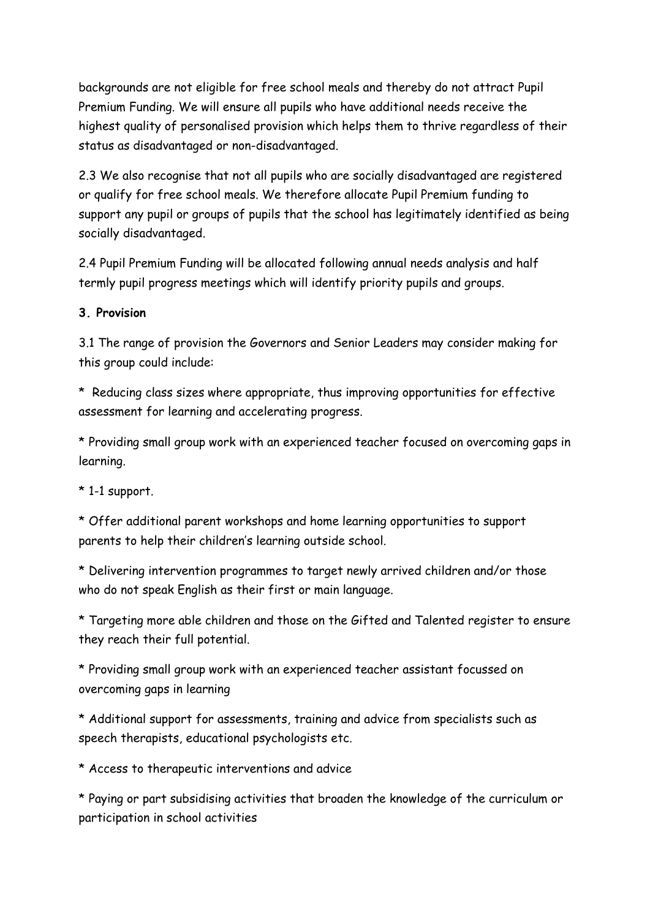backgrounds are not eligible for free school meals and thereby do not attract Pupil Premium Funding. We will ensure all pupils who have additional needs receive the highest quality of personalised provision which helps them to thrive regardless of their status as disadvantaged or non-disadvantaged.

2.3 We also recognise that not all pupils who are socially disadvantaged are registered or qualify for free school meals. We therefore allocate Pupil Premium funding to support any pupil or groups of pupils that the school has legitimately identified as being socially disadvantaged.

2.4 Pupil Premium Funding will be allocated following annual needs analysis and half termly pupil progress meetings which will identify priority pupils and groups.

#### **3. Provision**

3.1 The range of provision the Governors and Senior Leaders may consider making for this group could include:

\* Reducing class sizes where appropriate, thus improving opportunities for effective assessment for learning and accelerating progress.

\* Providing small group work with an experienced teacher focused on overcoming gaps in learning.

 $*$  1-1 support.

\* Offer additional parent workshops and home learning opportunities to support parents to help their children's learning outside school.

\* Delivering intervention programmes to target newly arrived children and/or those who do not speak English as their first or main language.

\* Targeting more able children and those on the Gifted and Talented register to ensure they reach their full potential.

\* Providing small group work with an experienced teacher assistant focussed on overcoming gaps in learning

\* Additional support for assessments, training and advice from specialists such as speech therapists, educational psychologists etc.

\* Access to therapeutic interventions and advice

\* Paying or part subsidising activities that broaden the knowledge of the curriculum or participation in school activities